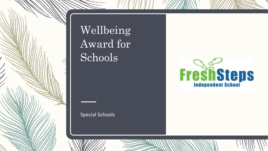

### Wellbeing Award for Schools

#### Special Schools

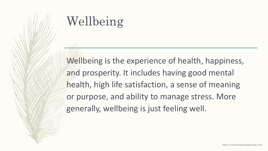# Wellbeing

Wellbeing is the experience of health, happiness, and prosperity. It includes having good mental health, high life satisfaction, a sense of meaning or purpose, and ability to manage stress. More generally, wellbeing is just feeling well.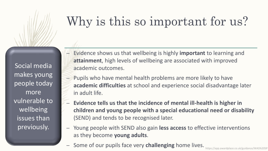## Why is this so important for us?

Social media makes young people today more vulnerable to wellbeing issues than previously.

- Evidence shows us that wellbeing is highly **important** to learning and **attainment**, high levels of wellbeing are associated with improved academic outcomes.
- Pupils who have mental health problems are more likely to have **academic difficulties** at school and experience social disadvantage later in adult life.
- **Evidence tells us that the incidence of mental ill-health is higher in children and young people with a special educational need or disability**  (SEND) and tends to be recognised later.
- Young people with SEND also gain **less access** to effective interventions as they become **young adults**.
	- Some of our pupils face very **challenging** home lives.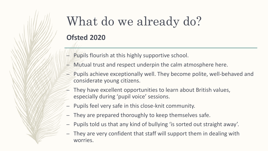### What do we already do? **Ofsted 2020**

- Pupils flourish at this highly supportive school.
- Mutual trust and respect underpin the calm atmosphere here.
- Pupils achieve exceptionally well. They become polite, well-behaved and considerate young citizens.
- They have excellent opportunities to learn about British values, especially during 'pupil voice' sessions.
- Pupils feel very safe in this close-knit community.
- They are prepared thoroughly to keep themselves safe.
- Pupils told us that any kind of bullying 'is sorted out straight away'.
- They are very confident that staff will support them in dealing with worries.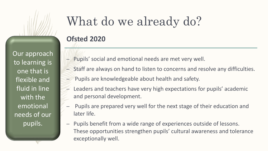Our approach to learning is one that is flexible and fluid in line with the emotional needs of our pupils.

# What do we already do?

#### **Ofsted 2020**

- Pupils' social and emotional needs are met very well.
- Staff are always on hand to listen to concerns and resolve any difficulties.
- Pupils are knowledgeable about health and safety.
- Leaders and teachers have very high expectations for pupils' academic and personal development.
- Pupils are prepared very well for the next stage of their education and later life.
- Pupils benefit from a wide range of experiences outside of lessons. These opportunities strengthen pupils' cultural awareness and tolerance exceptionally well.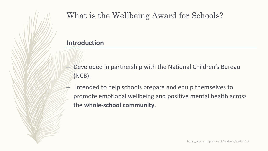### What is the Wellbeing Award for Schools?

#### **Introduction**

- Developed in partnership with the National Children's Bureau (NCB).
- Intended to help schools prepare and equip themselves to promote emotional wellbeing and positive mental health across the **whole-school community**.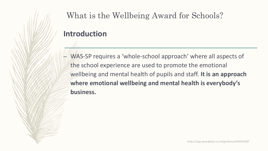What is the Wellbeing Award for Schools?

#### **Introduction**

– WAS-SP requires a 'whole-school approach' where all aspects of the school experience are used to promote the emotional wellbeing and mental health of pupils and staff. **It is an approach where emotional wellbeing and mental health is everybody's business.**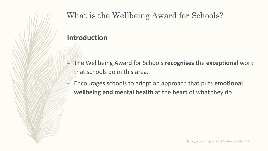### What is the Wellbeing Award for Schools?

#### **Introduction**

- The Wellbeing Award for Schools **recognises** the **exceptional** work that schools do in this area.
- Encourages schools to adopt an approach that puts **emotional wellbeing and mental health** at the **heart** of what they do.